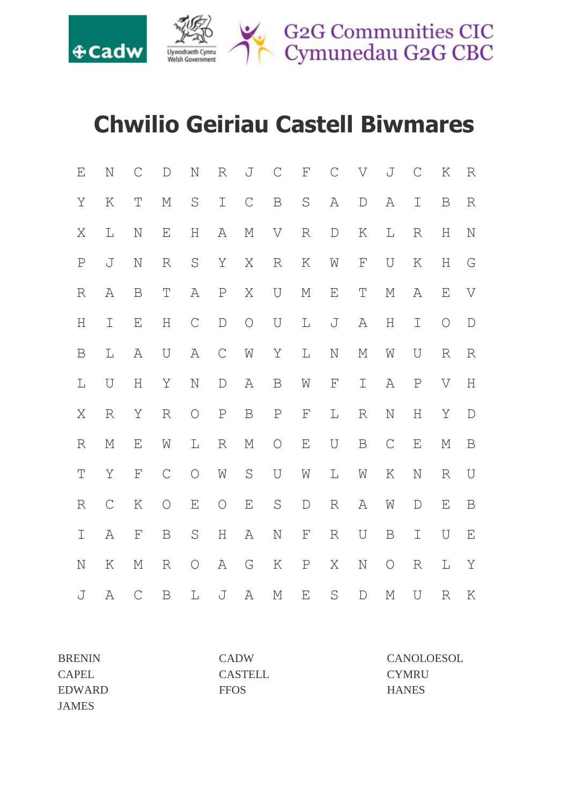

## **Chwilio Geiriau Castell Biwmares**

| $\mathbf E$   | $\mathbb N$            | $\mathcal C$       | ${\mathbb D}$      | $\rm N$                   | $\mathbb R$      | J                      | $\mathcal{C}$    | ${\rm F}$          | $\mathcal{C}$ | V                  | J           | $\mathcal{C}$             | Κ                  | $\mathbb R$                                 |
|---------------|------------------------|--------------------|--------------------|---------------------------|------------------|------------------------|------------------|--------------------|---------------|--------------------|-------------|---------------------------|--------------------|---------------------------------------------|
| Y             | K                      | $\mathbb T$        | $\mathbb M$        | $\rm S$                   | $\mathbbm{I}$    | $\mathop{\mathcal{C}}$ | $\, {\bf B}$     | $\rm S$            | А             | $\mathbb D$        | А           | $\mathbbm{I}$             | $\mathbf B$        | $\mathbb R$                                 |
| Χ             | L                      | $\mathbb N$        | $\mathbf{E}% _{0}$ | $\boldsymbol{\mathrm{H}}$ | А                | $\mathbb M$            | V                | $\mathbb R$        | $\mathbb D$   | K                  | L           | $\mathbb R$               | Η                  | $\rm N$                                     |
| $\rm P$       | J                      | $\mathbb N$        | $\mathbb R$        | $\rm S$                   | Y                | Χ                      | $\mathbb R$      | K                  | Ŵ             | $\mathbf{F}% _{0}$ | U           | K                         | H                  | $\mathbb{G}% _{M_{1},M_{2}}^{\alpha,\beta}$ |
| $\mathbb R$   | А                      | $\mathbf B$        | $\mathbb T$        | А                         | $\mathbf P$      | Χ                      | $\bigcup$        | $\mathbb M$        | Ε             | $\mathbb T$        | М           | А                         | $\mathbf{E}% _{0}$ | $\boldsymbol{\nabla}$                       |
| $\rm H$       | $\mathbbm{I}$          | E                  | $\rm H$            | $\mathsf C$               | $\mathbf{D}%$    | $\bigcirc$             | $\mathbf U$      | $\mathbb L$        | J             | A                  | $\rm H$     | I                         | $\bigcirc$         | $\mathbb D$                                 |
| B             | L                      | А                  | U                  | А                         | $\mathsf C$      | W                      | Υ                | $\mathbb L$        | $\mathbb N$   | $\mathbb M$        | W           | U                         | $\mathbb R$        | $\mathbb R$                                 |
| $\mathbb L$   | U                      | Η                  | Υ                  | $\rm N$                   | $\mathbb D$      | А                      | $\mathbf B$      | W                  | $\mathbb F$   | I                  | А           | $\, {\mathbb P}$          | V                  | $\rm H$                                     |
| Χ             | $\mathbb R$            | Y                  | $\mathbb R$        | $\bigcirc$                | $\, {\mathbf P}$ | $\, {\bf B}$           | $\, {\mathbf P}$ | $\mathbf F$        | $\mathbb L$   | $\mathbb R$        | $\rm N$     | $\boldsymbol{\mathrm{H}}$ | Y                  | $\mathbb D$                                 |
| $\mathbb R$   | М                      | E                  | $\mathbb{M}$       | L                         | $\mathbb R$      | $\mathbb M$            | $\bigcirc$       | $\mathbf{E}% _{0}$ | $\mathbf U$   | $\, {\bf B}$       | $\mathsf C$ | $\mathbf{E}% _{0}$        | М                  | $\, {\bf B}$                                |
| $\mathbb T$   | Y                      | $\mathbf{F}% _{0}$ | $\mathsf C$        | $\bigcirc$                | W                | $\mathbf S$            | $\cup$           | $\mathbb{M}$       | $\mathbb L$   | ${\rm M}$          | K           | $\mathbb N$               | R                  | U                                           |
| $\mathbb R$   | $\mathop{\mathcal{C}}$ | $\rm K$            | $\bigcirc$         | $\mathbf{E}% _{0}$        | $\bigcirc$       | $\mathbf{E}% _{0}$     | $\mathbf S$      | $\mathbb D$        | R             | А                  | W           | $\mathbb D$               | $\mathbf{E}% _{0}$ | $\, {\bf B}$                                |
| $\mathbbm{I}$ | A                      | $\mathbf F$        | $\mathbf B$        | $\mathbf S$               | $\rm H$          | А                      | $\mathbb N$      | $\mathbf{F}% _{0}$ | $\mathbb R$   | U                  | $\mathbf B$ | $\mathbbm{I}$             | U                  | $\mathbf{E}% _{0}$                          |
| $\mathbf N$   | K                      | $\mathbb M$        | $\mathbb R$        | $\bigcirc$                | Α                | G                      | К                | $\, {\mathbb P}$   | Χ             | $\rm N$            | $\bigcirc$  | $\mathbb R$               | $\mathbb L$        | Y                                           |
| J             | Α                      | $\mathsf C$        | $\, {\bf B}$       | L                         | J                | A                      | $\mathbb M$      | $\mathbf{E}% _{0}$ | $\rm S$       | $\mathbb D$        | М           | $\mathbf U$               | $\mathbb R$        | K                                           |

| <b>BRENIN</b> | <b>CADW</b>    | CANOLOESOL   |
|---------------|----------------|--------------|
| <b>CAPEL</b>  | <b>CASTELL</b> | <b>CYMRU</b> |
| EDWARD        | <b>FFOS</b>    | <b>HANES</b> |
| <b>JAMES</b>  |                |              |